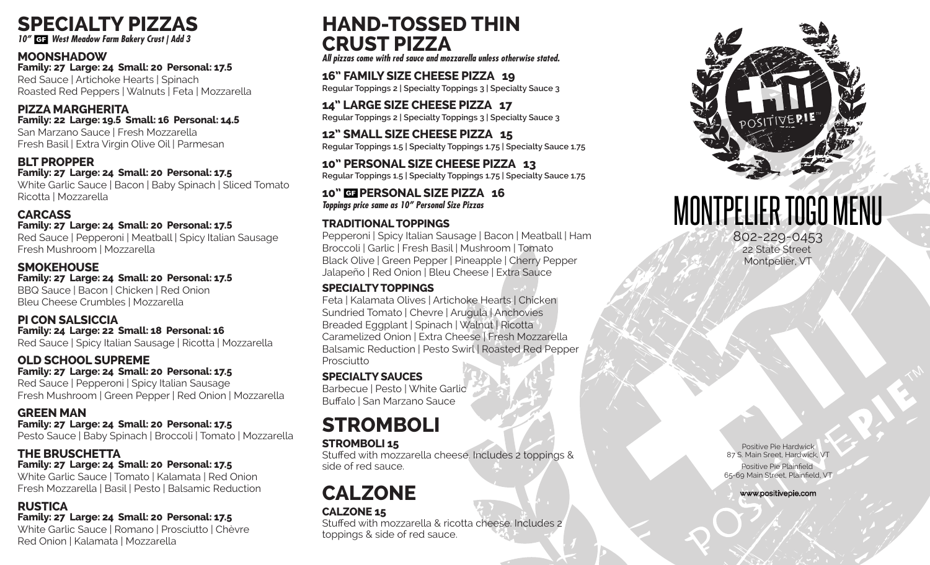

*10" West Meadow Farm Bakery Crust | Add 3*

#### **MOONSHADOW**

**Family: 27 Large: 24 Small: 20 Personal: 17.5** Red Sauce | Artichoke Hearts | Spinach Roasted Red Peppers | Walnuts | Feta | Mozzarella

#### **PIZZA MARGHERITA Family: 22 Large: 19.5 Small: 16 Personal: 14.5**

San Marzano Sauce | Fresh Mozzarella Fresh Basil | Extra Virgin Olive Oil | Parmesan

#### **BLT PROPPER**

**Family: 27 Large: 24 Small: 20 Personal: 17.5** White Garlic Sauce | Bacon | Baby Spinach | Sliced Tomato Ricotta | Mozzarella

#### **CARCASS**

#### **Family: 27 Large: 24 Small: 20 Personal: 17.5**

Red Sauce | Pepperoni | Meatball | Spicy Italian Sausage Fresh Mushroom | Mozzarella

#### **SMOKEHOUSE**

**Family: 27 Large: 24 Small: 20 Personal: 17.5** BBQ Sauce | Bacon | Chicken | Red Onion Bleu Cheese Crumbles | Mozzarella

#### **PI CON SALSICCIA**

**Family: 24 Large: 22 Small: 18 Personal: 16** Red Sauce | Spicy Italian Sausage | Ricotta | Mozzarella

#### **OLD SCHOOL SUPREME**

**Family: 27 Large: 24 Small: 20 Personal: 17.5**

Red Sauce | Pepperoni | Spicy Italian Sausage Fresh Mushroom | Green Pepper | Red Onion | Mozzarella

#### **GREEN MAN**

**Family: 27 Large: 24 Small: 20 Personal: 17.5** Pesto Sauce | Baby Spinach | Broccoli | Tomato | Mozzarella

#### **THE BRUSCHETTA Family: 27 Large: 24 Small: 20 Personal: 17.5**

White Garlic Sauce | Tomato | Kalamata | Red Onion Fresh Mozzarella | Basil | Pesto | Balsamic Reduction

#### **RUSTICA**

#### **Family: 27 Large: 24 Small: 20 Personal: 17.5**

White Garlic Sauce | Romano | Prosciutto | Chèvre Red Onion | Kalamata | Mozzarella

## **HAND-TOSSED THIN CRUST PIZZA**

*All pizzas come with red sauce and mozzarella unless otherwise stated.* 

**16" FAMILY SIZE CHEESE PIZZA 19 Regular Toppings 2 | Specialty Toppings 3 | Specialty Sauce 3**

**14" LARGE SIZE CHEESE PIZZA 17 Regular Toppings 2 | Specialty Toppings 3 | Specialty Sauce 3**

**12" SMALL SIZE CHEESE PIZZA 15 Regular Toppings 1.5 | Specialty Toppings 1.75 | Specialty Sauce 1.75**

**10" PERSONAL SIZE CHEESE PIZZA 13 Regular Toppings 1.5 | Specialty Toppings 1.75 | Specialty Sauce 1.75**

#### **10" PERSONAL SIZE PIZZA 16**  *Toppings price same as 10" Personal Size Pizzas*

#### **TRADITIONAL TOPPINGS**

Pepperoni | Spicy Italian Sausage | Bacon | Meatball | Ham Broccoli | Garlic | Fresh Basil | Mushroom | Tomato Black Olive | Green Pepper | Pineapple | Cherry Pepper Jalapeño | Red Onion | Bleu Cheese | Extra Sauce

#### **SPECIALTY TOPPINGS**

Feta | Kalamata Olives | Artichoke Hearts | Chicken Sundried Tomato | Chevre | Arugula | Anchovies Breaded Eggplant | Spinach | Walnut | Ricotta Caramelized Onion | Extra Cheese | Fresh Mozzarella Balsamic Reduction | Pesto Swirl | Roasted Red Pepper Prosciutto

#### **SPECIALTY SAUCES**

Barbecue | Pesto | White Garlic Buffalo | San Marzano Sauce

## **STROMBOLI**

### **STROMBOLI 15**

Stuffed with mozzarella cheese. Includes 2 toppings & side of red sauce.

## **CALZONE**

### **CALZONE 15**

Stuffed with mozzarella & ricotta cheese. Includes 2 toppings & side of red sauce.



# MONTPELIER TOGO MENU

802-229-0453 22 State Street Montpelier, VT

Positive Pie Hardwick 87 S. Main Sreet, Hardwick, VT Positive Pie Plainfield 65-69 Main Street, Plainfield, VT

www.positivepie.com